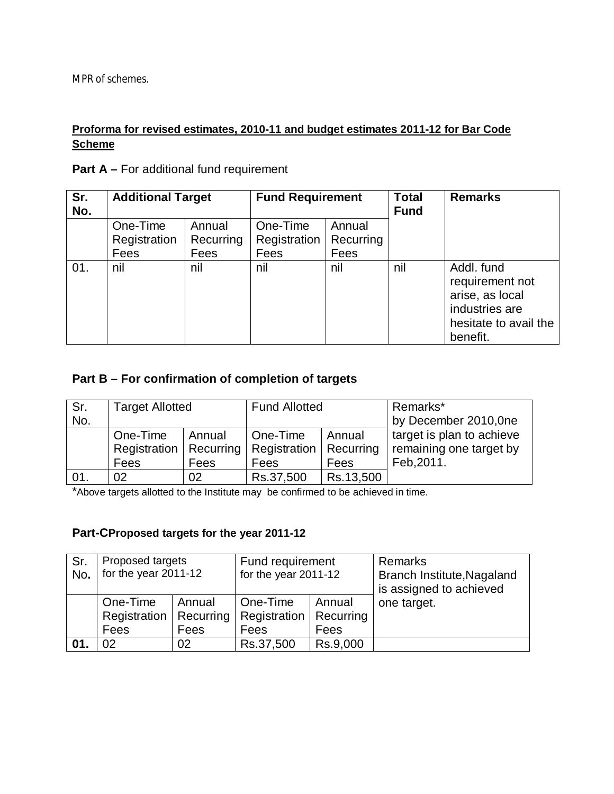MPR of schemes.

## **Proforma for revised estimates, 2010-11 and budget estimates 2011-12 for Bar Code Scheme**

| Sr.<br>No. | <b>Additional Target</b>                                        |     | <b>Fund Requirement</b>                                         |     | <b>Total</b><br><b>Fund</b> | <b>Remarks</b>                                                                                          |  |
|------------|-----------------------------------------------------------------|-----|-----------------------------------------------------------------|-----|-----------------------------|---------------------------------------------------------------------------------------------------------|--|
|            | One-Time<br>Annual<br>Registration<br>Recurring<br>Fees<br>Fees |     | One-Time<br>Annual<br>Registration<br>Recurring<br>Fees<br>Fees |     |                             |                                                                                                         |  |
| 01.        | nil                                                             | nil | nil                                                             | nil | nil                         | Addl. fund<br>requirement not<br>arise, as local<br>industries are<br>hesitate to avail the<br>benefit. |  |

**Part A** – For additional fund requirement

# **Part B – For confirmation of completion of targets**

| Sr.<br>No. | <b>Target Allotted</b>           |                             | <b>Fund Allotted</b>                    |                             | Remarks*<br>by December 2010,0ne                                   |
|------------|----------------------------------|-----------------------------|-----------------------------------------|-----------------------------|--------------------------------------------------------------------|
|            | One-Time<br>Registration<br>Fees | Annual<br>Recurring<br>Fees | One-Time<br><b>Registration</b><br>Fees | Annual<br>Recurring<br>Fees | target is plan to achieve<br>remaining one target by<br>Feb, 2011. |
| 01.        | 02                               | 02                          | Rs.37,500                               | Rs.13,500                   |                                                                    |

\*Above targets allotted to the Institute may be confirmed to be achieved in time.

## **Part-CProposed targets for the year 2011-12**

| Sr.<br>No. | Proposed targets<br>for the year 2011-12 |           | Fund requirement<br>for the year 2011-12 |           | Remarks<br>Branch Institute, Nagaland<br>is assigned to achieved |
|------------|------------------------------------------|-----------|------------------------------------------|-----------|------------------------------------------------------------------|
|            | One-Time                                 | Annual    | One-Time<br>Annual                       |           | one target.                                                      |
|            | Registration                             | Recurring | Registration                             | Recurring |                                                                  |
|            | Fees                                     | Fees      | Fees<br>Fees                             |           |                                                                  |
|            | 02                                       | 02        | Rs.37,500                                | Rs.9,000  |                                                                  |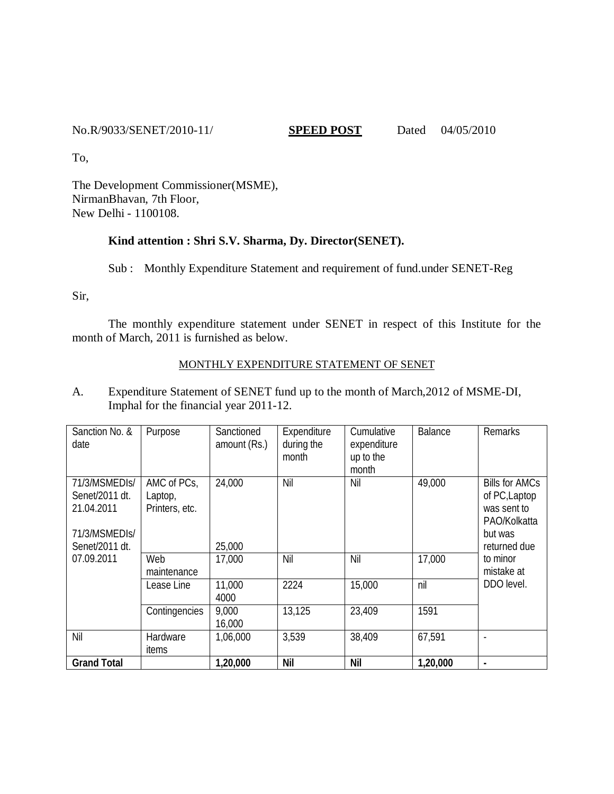No.R/9033/SENET/2010-11/ **SPEED POST** Dated 04/05/2010

To,

The Development Commissioner(MSME), NirmanBhavan, 7th Floor, New Delhi - 1100108.

#### **Kind attention : Shri S.V. Sharma, Dy. Director(SENET).**

Sub : Monthly Expenditure Statement and requirement of fund.under SENET-Reg

Sir,

The monthly expenditure statement under SENET in respect of this Institute for the month of March, 2011 is furnished as below.

#### MONTHLY EXPENDITURE STATEMENT OF SENET

A. Expenditure Statement of SENET fund up to the month of March,2012 of MSME-DI, Imphal for the financial year 2011-12.

| Sanction No. &<br>date                                                           | Purpose                                  | Sanctioned<br>amount (Rs.) | Expenditure<br>during the<br>month | Cumulative<br>expenditure<br>up to the<br>month | <b>Balance</b> | Remarks                                                                                          |
|----------------------------------------------------------------------------------|------------------------------------------|----------------------------|------------------------------------|-------------------------------------------------|----------------|--------------------------------------------------------------------------------------------------|
| 71/3/MSMEDIs/<br>Senet/2011 dt.<br>21.04.2011<br>71/3/MSMEDIS/<br>Senet/2011 dt. | AMC of PCs,<br>Laptop,<br>Printers, etc. | 24,000<br>25,000           | Nil                                | Nil                                             | 49,000         | <b>Bills for AMCs</b><br>of PC, Laptop<br>was sent to<br>PAO/Kolkatta<br>but was<br>returned due |
| 07.09.2011                                                                       | Web<br>maintenance                       | 17,000                     | Nil                                | Nil                                             | 17,000         | to minor<br>mistake at                                                                           |
|                                                                                  | Lease Line                               | 11,000<br>4000             | 2224                               | 15,000                                          | nil            | DDO level.                                                                                       |
|                                                                                  | Contingencies                            | 9,000<br>16,000            | 13,125                             | 23,409                                          | 1591           |                                                                                                  |
| Nil                                                                              | Hardware<br>items                        | 1,06,000                   | 3,539                              | 38,409                                          | 67,591         |                                                                                                  |
| <b>Grand Total</b>                                                               |                                          | 1,20,000                   | <b>Nil</b>                         | <b>Nil</b>                                      | 1,20,000       |                                                                                                  |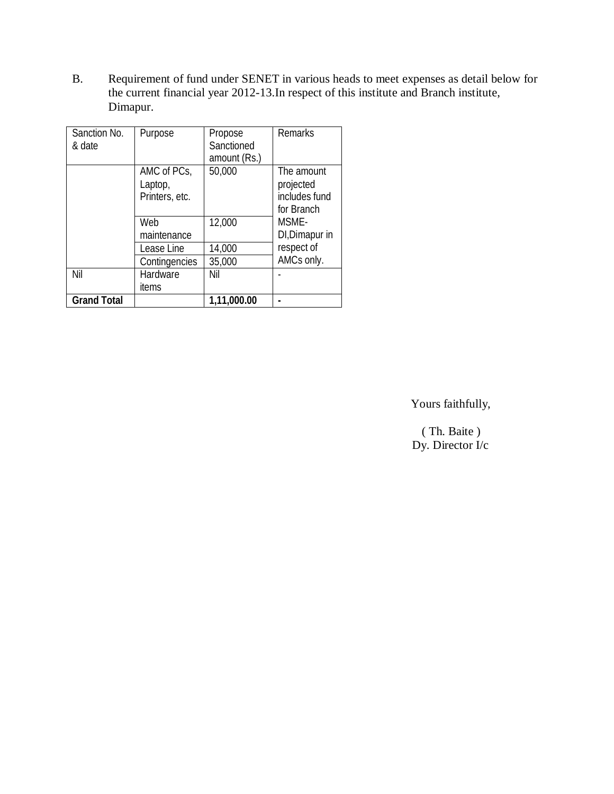B. Requirement of fund under SENET in various heads to meet expenses as detail below for the current financial year 2012-13.In respect of this institute and Branch institute, Dimapur.

| Sanction No.<br>& date | Purpose        | Propose<br>Sanctioned | Remarks        |
|------------------------|----------------|-----------------------|----------------|
|                        |                | amount (Rs.)          |                |
|                        | AMC of PCs,    | 50,000                | The amount     |
|                        | Laptop,        |                       | projected      |
|                        | Printers, etc. |                       | includes fund  |
|                        |                |                       | for Branch     |
|                        | Web            | 12,000                | MSMF-          |
|                        | maintenance    |                       | DI, Dimapur in |
|                        | Lease Line     | 14,000                | respect of     |
|                        | Contingencies  | 35,000                | AMCs only.     |
| Nil                    | Hardware       | Nil                   |                |
|                        | items          |                       |                |
| <b>Grand Total</b>     |                | 1,11,000.00           |                |

Yours faithfully,

( Th. Baite ) Dy. Director I/c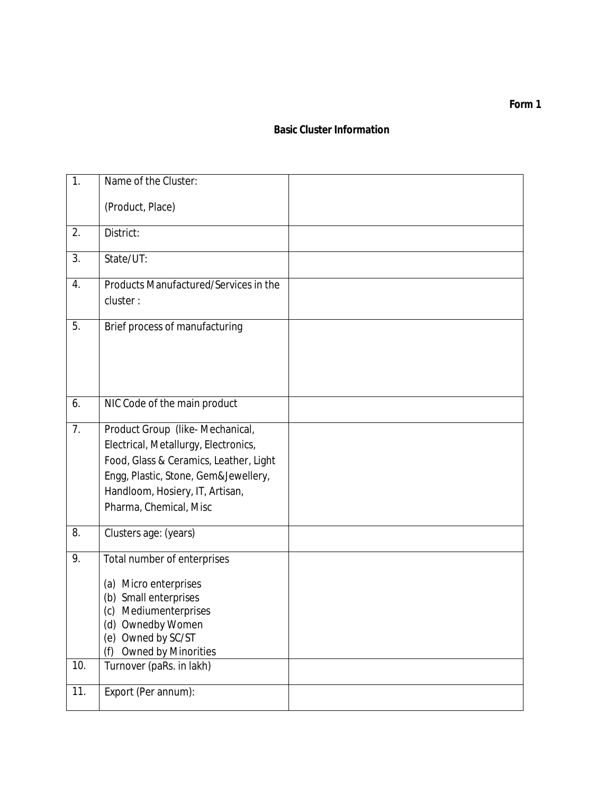### **Basic Cluster Information**

| 1.        | Name of the Cluster:                                                                                                                                                                                                   |  |
|-----------|------------------------------------------------------------------------------------------------------------------------------------------------------------------------------------------------------------------------|--|
|           | (Product, Place)                                                                                                                                                                                                       |  |
| 2.        | District:                                                                                                                                                                                                              |  |
| 3.        | State/UT:                                                                                                                                                                                                              |  |
| 4.        | Products Manufactured/Services in the<br>cluster:                                                                                                                                                                      |  |
| 5.        | Brief process of manufacturing                                                                                                                                                                                         |  |
| 6.        | NIC Code of the main product                                                                                                                                                                                           |  |
| 7.        | Product Group (like-Mechanical,<br>Electrical, Metallurgy, Electronics,<br>Food, Glass & Ceramics, Leather, Light<br>Engg, Plastic, Stone, Gem&Jewellery,<br>Handloom, Hosiery, IT, Artisan,<br>Pharma, Chemical, Misc |  |
| 8.        | Clusters age: (years)                                                                                                                                                                                                  |  |
| 9.<br>10. | Total number of enterprises<br>(a) Micro enterprises<br>(b) Small enterprises<br>(c) Mediumenterprises<br>(d) Ownedby Women<br>(e) Owned by SC/ST<br><b>Owned by Minorities</b><br>(f)<br>Turnover (paRs. in lakh)     |  |
| 11.       | Export (Per annum):                                                                                                                                                                                                    |  |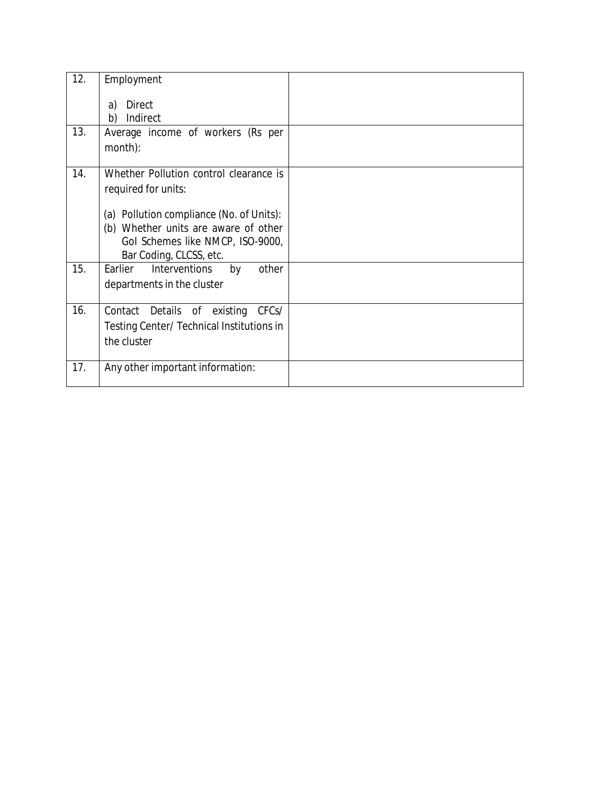| 12. | Employment<br><b>Direct</b><br>a)<br>Indirect<br>b)                                                                                                                                                              |  |
|-----|------------------------------------------------------------------------------------------------------------------------------------------------------------------------------------------------------------------|--|
| 13. | Average income of workers (Rs per<br>month):                                                                                                                                                                     |  |
| 14. | Whether Pollution control clearance is<br>required for units:<br>(a) Pollution compliance (No. of Units):<br>(b) Whether units are aware of other<br>Gol Schemes like NMCP, ISO-9000,<br>Bar Coding, CLCSS, etc. |  |
| 15. | Interventions<br>Earlier<br>by<br>other<br>departments in the cluster                                                                                                                                            |  |
| 16. | Contact Details of existing<br>CFCs/<br>Testing Center/ Technical Institutions in<br>the cluster                                                                                                                 |  |
| 17. | Any other important information:                                                                                                                                                                                 |  |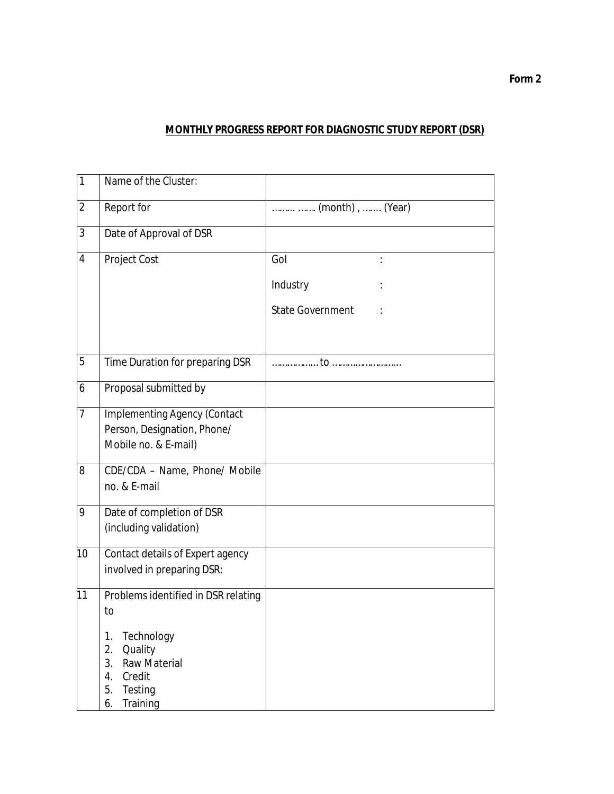# **MONTHLY PROGRESS REPORT FOR DIAGNOSTIC STUDY REPORT (DSR)**

| $\mathbf{1}$   | Name of the Cluster:                                                                                              |                         |
|----------------|-------------------------------------------------------------------------------------------------------------------|-------------------------|
| 2              | Report for                                                                                                        | (month),  (Year)        |
| 3              | Date of Approval of DSR                                                                                           |                         |
| 4              | Project Cost                                                                                                      | Gol                     |
|                |                                                                                                                   | Industry                |
|                |                                                                                                                   | <b>State Government</b> |
|                |                                                                                                                   |                         |
| 5              | Time Duration for preparing DSR                                                                                   |                         |
| 6              | Proposal submitted by                                                                                             |                         |
| $\overline{7}$ | Implementing Agency (Contact<br>Person, Designation, Phone/<br>Mobile no. & E-mail)                               |                         |
| 8              | CDE/CDA - Name, Phone/ Mobile<br>no. & E-mail                                                                     |                         |
| 9              | Date of completion of DSR<br>(including validation)                                                               |                         |
| 10             | Contact details of Expert agency<br>involved in preparing DSR:                                                    |                         |
| 11             | Problems identified in DSR relating<br>to                                                                         |                         |
|                | Technology<br>1.<br>2.<br>Quality<br><b>Raw Material</b><br>3.<br>4.<br>Credit<br>5.<br>Testing<br>Training<br>6. |                         |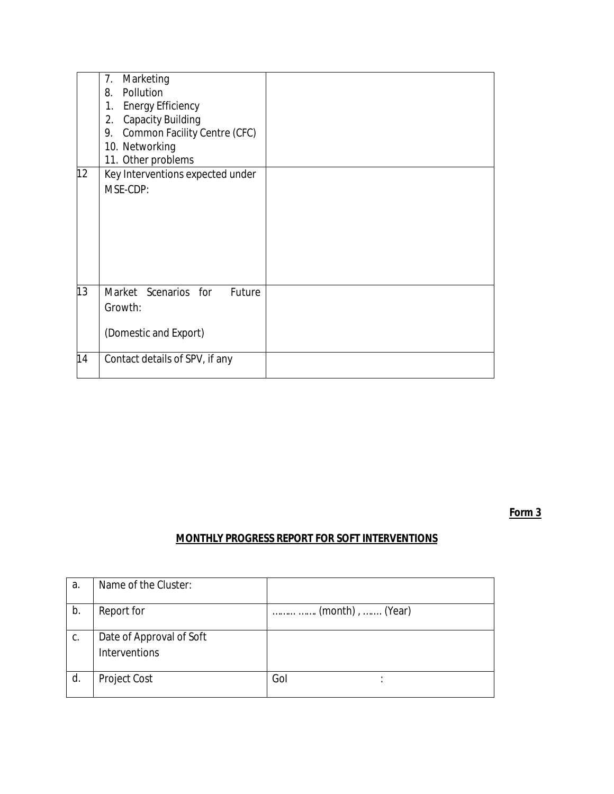|    | 7.<br>Marketing<br>Pollution<br>8.<br><b>Energy Efficiency</b><br>1. |  |
|----|----------------------------------------------------------------------|--|
|    | <b>Capacity Building</b><br>2.                                       |  |
|    | Common Facility Centre (CFC)<br>9.                                   |  |
|    | 10. Networking                                                       |  |
|    | 11. Other problems                                                   |  |
| 12 | Key Interventions expected under                                     |  |
|    | MSE-CDP:                                                             |  |
|    |                                                                      |  |
|    |                                                                      |  |
|    |                                                                      |  |
|    |                                                                      |  |
|    |                                                                      |  |
|    |                                                                      |  |
| 13 | Market Scenarios for<br>Future                                       |  |
|    | Growth:                                                              |  |
|    |                                                                      |  |
|    | (Domestic and Export)                                                |  |
| 14 | Contact details of SPV, if any                                       |  |
|    |                                                                      |  |

#### **Form 3**

## **MONTHLY PROGRESS REPORT FOR SOFT INTERVENTIONS**

| a. | Name of the Cluster:                      |                  |
|----|-------------------------------------------|------------------|
| b. | Report for                                | (month),  (Year) |
| C. | Date of Approval of Soft<br>Interventions |                  |
| d. | <b>Project Cost</b>                       | Gol<br>٠         |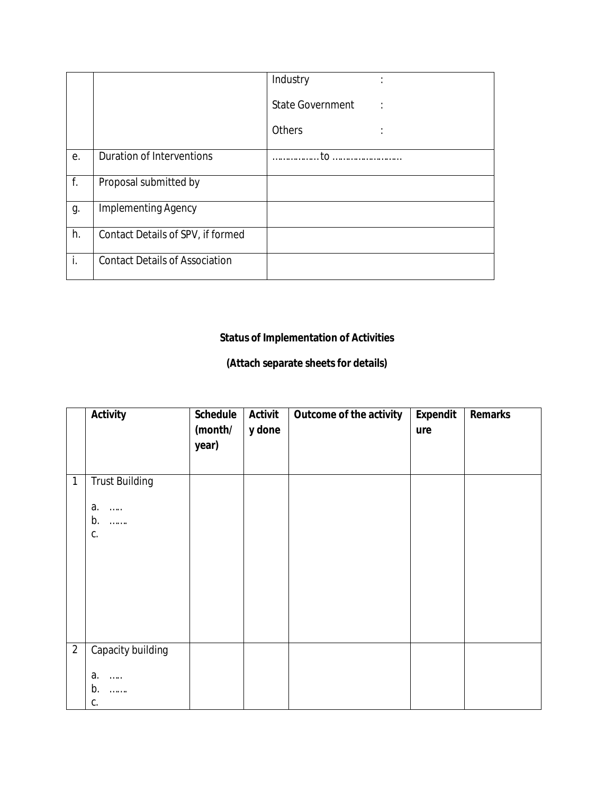|    |                                       | Industry                |
|----|---------------------------------------|-------------------------|
|    |                                       | <b>State Government</b> |
|    |                                       | <b>Others</b><br>٠      |
| е. | Duration of Interventions             | $\mathsf{to}$<br>.      |
| f. | Proposal submitted by                 |                         |
| g. | <b>Implementing Agency</b>            |                         |
| h. | Contact Details of SPV, if formed     |                         |
| i. | <b>Contact Details of Association</b> |                         |

# **Status of Implementation of Activities**

## **(Attach separate sheets for details)**

|                | <b>Activity</b>       | <b>Schedule</b>  | <b>Activit</b> | <b>Outcome of the activity</b> | <b>Expendit</b> | <b>Remarks</b> |
|----------------|-----------------------|------------------|----------------|--------------------------------|-----------------|----------------|
|                |                       | (month/<br>year) | y done         |                                | ure             |                |
| $\mathbf{1}$   | <b>Trust Building</b> |                  |                |                                |                 |                |
|                | a.<br>$\sim$          |                  |                |                                |                 |                |
|                | b.<br>$\sim$          |                  |                |                                |                 |                |
|                | C.                    |                  |                |                                |                 |                |
|                |                       |                  |                |                                |                 |                |
|                |                       |                  |                |                                |                 |                |
|                |                       |                  |                |                                |                 |                |
|                |                       |                  |                |                                |                 |                |
|                |                       |                  |                |                                |                 |                |
|                |                       |                  |                |                                |                 |                |
|                |                       |                  |                |                                |                 |                |
|                |                       |                  |                |                                |                 |                |
| $\overline{2}$ | Capacity building     |                  |                |                                |                 |                |
|                |                       |                  |                |                                |                 |                |
|                | a.<br>$\sim$          |                  |                |                                |                 |                |
|                | b.<br>$\ldots$        |                  |                |                                |                 |                |
|                | C.                    |                  |                |                                |                 |                |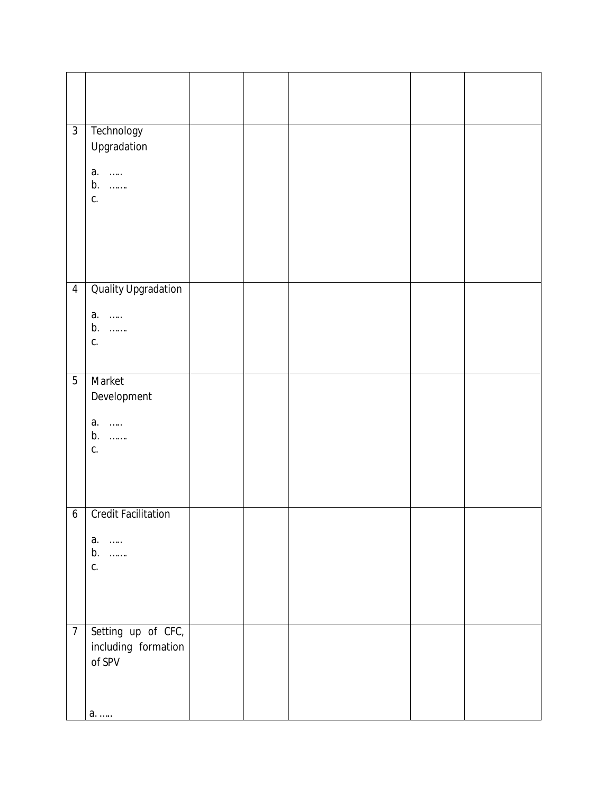| $\mathfrak{Z}$   | Technology<br>Upgradation                 |  |  |  |
|------------------|-------------------------------------------|--|--|--|
|                  | a.<br>$\sim$<br>b.<br>$\ldots$            |  |  |  |
|                  | C.                                        |  |  |  |
|                  |                                           |  |  |  |
|                  |                                           |  |  |  |
| $\overline{4}$   | <b>Quality Upgradation</b>                |  |  |  |
|                  | a.<br>b.<br>$\ldots$<br>C.                |  |  |  |
|                  |                                           |  |  |  |
| $\overline{5}$   | Market<br>Development                     |  |  |  |
|                  | a.                                        |  |  |  |
|                  | b.<br>$\sim$<br>C.                        |  |  |  |
|                  |                                           |  |  |  |
|                  |                                           |  |  |  |
| $\boldsymbol{6}$ | <b>Credit Facilitation</b>                |  |  |  |
|                  | a.<br>b.<br>C.                            |  |  |  |
|                  |                                           |  |  |  |
|                  |                                           |  |  |  |
| $\overline{7}$   | Setting up of CFC,<br>including formation |  |  |  |
|                  | of SPV                                    |  |  |  |
|                  |                                           |  |  |  |
|                  | $a. \ldots .$                             |  |  |  |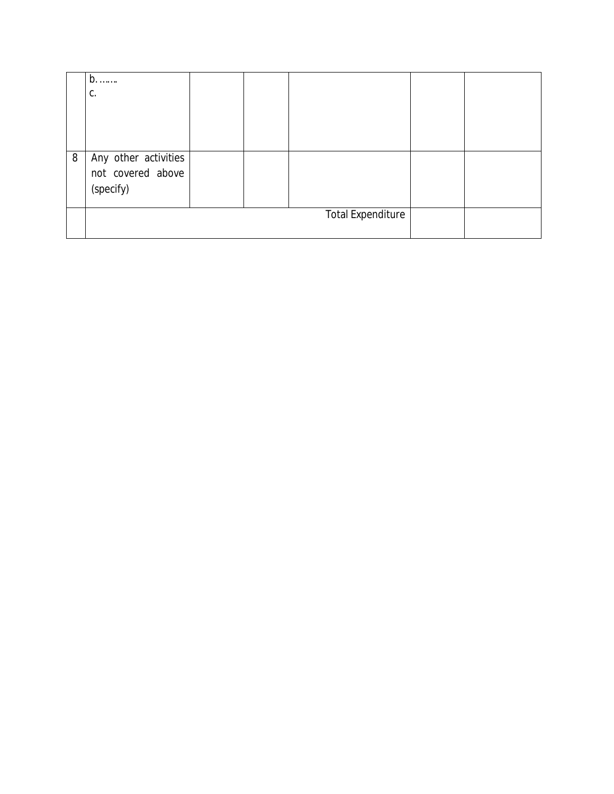|   | $b$                      |  |  |  |  |  |
|---|--------------------------|--|--|--|--|--|
|   | C.                       |  |  |  |  |  |
|   |                          |  |  |  |  |  |
|   |                          |  |  |  |  |  |
|   |                          |  |  |  |  |  |
| 8 | Any other activities     |  |  |  |  |  |
|   |                          |  |  |  |  |  |
|   | not covered above        |  |  |  |  |  |
|   | (specify)                |  |  |  |  |  |
|   |                          |  |  |  |  |  |
|   | <b>Total Expenditure</b> |  |  |  |  |  |
|   |                          |  |  |  |  |  |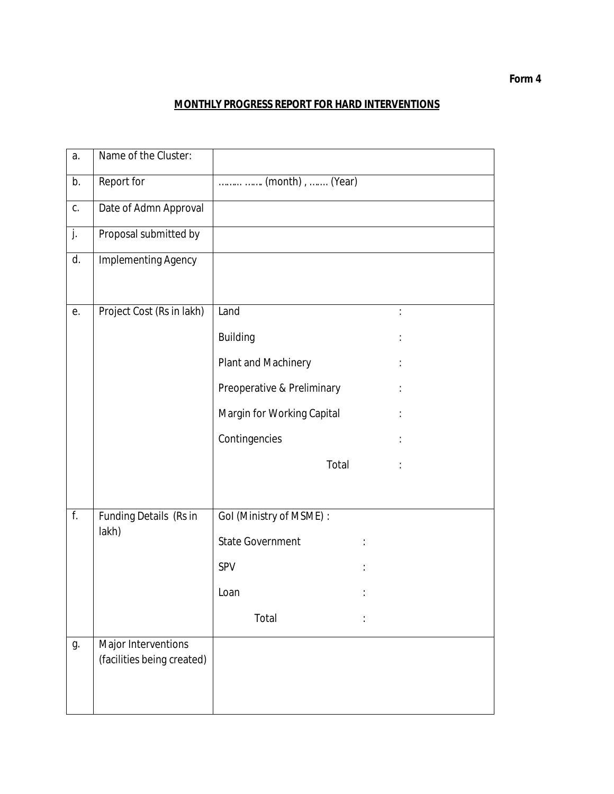## **MONTHLY PROGRESS REPORT FOR HARD INTERVENTIONS**

| a.               | Name of the Cluster:                              |                            |  |  |
|------------------|---------------------------------------------------|----------------------------|--|--|
| b.               | Report for                                        | (month),  (Year)           |  |  |
| C.               | Date of Admn Approval                             |                            |  |  |
| j.               | Proposal submitted by                             |                            |  |  |
| d.               | <b>Implementing Agency</b>                        |                            |  |  |
| е.               | Project Cost (Rs in lakh)                         | Land                       |  |  |
|                  |                                                   | <b>Building</b>            |  |  |
|                  |                                                   | Plant and Machinery        |  |  |
|                  |                                                   | Preoperative & Preliminary |  |  |
|                  |                                                   | Margin for Working Capital |  |  |
|                  |                                                   | Contingencies              |  |  |
|                  |                                                   | Total                      |  |  |
| $\overline{f}$ . | Funding Details (Rs in                            | Gol (Ministry of MSME) :   |  |  |
|                  | lakh)                                             | <b>State Government</b>    |  |  |
|                  |                                                   | SPV                        |  |  |
|                  |                                                   | Loan                       |  |  |
|                  |                                                   | Total                      |  |  |
| g.               | Major Interventions<br>(facilities being created) |                            |  |  |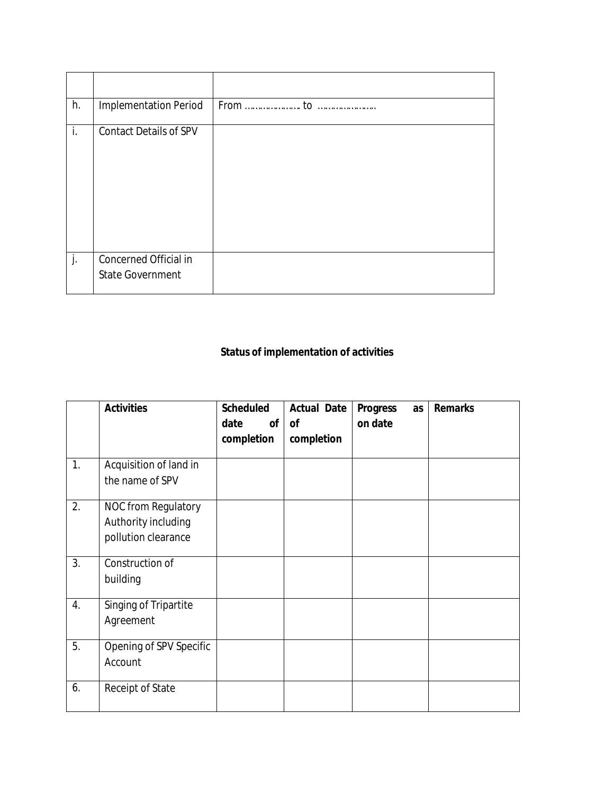| h. | <b>Implementation Period</b>                     |  |
|----|--------------------------------------------------|--|
| i. | <b>Contact Details of SPV</b>                    |  |
| j. | Concerned Official in<br><b>State Government</b> |  |

# **Status of implementation of activities**

|    | <b>Activities</b>                                                 | <b>Scheduled</b><br>date<br><b>of</b><br>completion | <b>Actual Date</b><br><b>of</b><br>completion | <b>Progress</b><br>as<br>on date | <b>Remarks</b> |
|----|-------------------------------------------------------------------|-----------------------------------------------------|-----------------------------------------------|----------------------------------|----------------|
| 1. | Acquisition of land in<br>the name of SPV                         |                                                     |                                               |                                  |                |
| 2. | NOC from Regulatory<br>Authority including<br>pollution clearance |                                                     |                                               |                                  |                |
| 3. | Construction of<br>building                                       |                                                     |                                               |                                  |                |
| 4. | Singing of Tripartite<br>Agreement                                |                                                     |                                               |                                  |                |
| 5. | Opening of SPV Specific<br>Account                                |                                                     |                                               |                                  |                |
| 6. | Receipt of State                                                  |                                                     |                                               |                                  |                |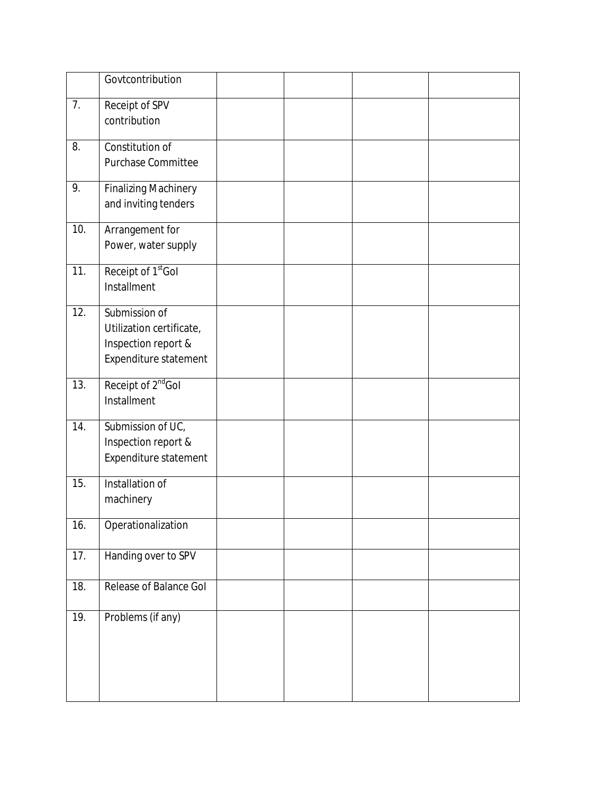|     | Govtcontribution                                                                          |  |  |
|-----|-------------------------------------------------------------------------------------------|--|--|
| 7.  | Receipt of SPV<br>contribution                                                            |  |  |
| 8.  | Constitution of<br><b>Purchase Committee</b>                                              |  |  |
| 9.  | <b>Finalizing Machinery</b><br>and inviting tenders                                       |  |  |
| 10. | Arrangement for<br>Power, water supply                                                    |  |  |
| 11. | Receipt of 1 <sup>st</sup> Gol<br>Installment                                             |  |  |
| 12. | Submission of<br>Utilization certificate,<br>Inspection report &<br>Expenditure statement |  |  |
| 13. | Receipt of 2 <sup>nd</sup> Gol<br>Installment                                             |  |  |
| 14. | Submission of UC,<br>Inspection report &<br>Expenditure statement                         |  |  |
| 15. | Installation of<br>machinery                                                              |  |  |
| 16. | Operationalization                                                                        |  |  |
| 17. | Handing over to SPV                                                                       |  |  |
| 18. | Release of Balance Gol                                                                    |  |  |
| 19. | Problems (if any)                                                                         |  |  |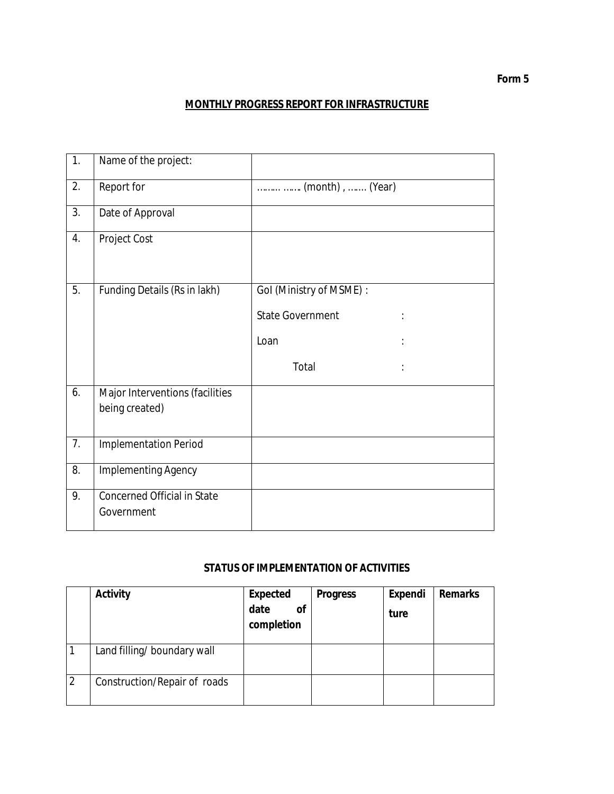## **MONTHLY PROGRESS REPORT FOR INFRASTRUCTURE**

| 1. | Name of the project:                              |                          |
|----|---------------------------------------------------|--------------------------|
| 2. | Report for                                        | (month),  (Year)         |
| 3. | Date of Approval                                  |                          |
| 4. | Project Cost                                      |                          |
| 5. | Funding Details (Rs in lakh)                      | Gol (Ministry of MSME) : |
|    |                                                   | <b>State Government</b>  |
|    |                                                   | Loan                     |
|    |                                                   | Total                    |
| 6. | Major Interventions (facilities<br>being created) |                          |
| 7. | Implementation Period                             |                          |
| 8. | <b>Implementing Agency</b>                        |                          |
| 9. | <b>Concerned Official in State</b><br>Government  |                          |

## **STATUS OF IMPLEMENTATION OF ACTIVITIES**

|   | <b>Activity</b>              | <b>Expected</b><br>date<br><b>of</b><br>completion | <b>Progress</b> | Expendi<br>ture | <b>Remarks</b> |
|---|------------------------------|----------------------------------------------------|-----------------|-----------------|----------------|
|   | Land filling/ boundary wall  |                                                    |                 |                 |                |
| 2 | Construction/Repair of roads |                                                    |                 |                 |                |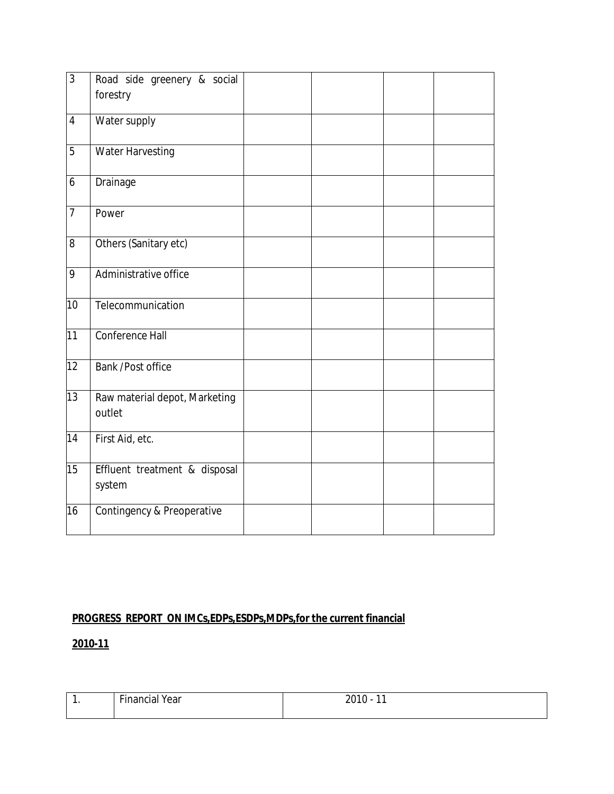| $\overline{3}$  | Road side greenery & social<br>forestry |  |  |
|-----------------|-----------------------------------------|--|--|
| $\overline{4}$  | Water supply                            |  |  |
| $\overline{5}$  | <b>Water Harvesting</b>                 |  |  |
| 6               | Drainage                                |  |  |
| $\overline{7}$  | Power                                   |  |  |
| 8               | Others (Sanitary etc)                   |  |  |
| $\overline{9}$  | Administrative office                   |  |  |
| 10 <sup>1</sup> | Telecommunication                       |  |  |
| $\overline{11}$ | <b>Conference Hall</b>                  |  |  |
| $\overline{12}$ | <b>Bank /Post office</b>                |  |  |
| 13              | Raw material depot, Marketing<br>outlet |  |  |
| $\overline{14}$ | First Aid, etc.                         |  |  |
| 15              | Effluent treatment & disposal<br>system |  |  |
| 16              | Contingency & Preoperative              |  |  |

# **PROGRESS REPORT ON IMCs,EDPs,ESDPs,MDPs,for the current financial**

# **2010-11**

| $-$<br>. .<br>eal<br>м<br>. | . . |
|-----------------------------|-----|
|                             |     |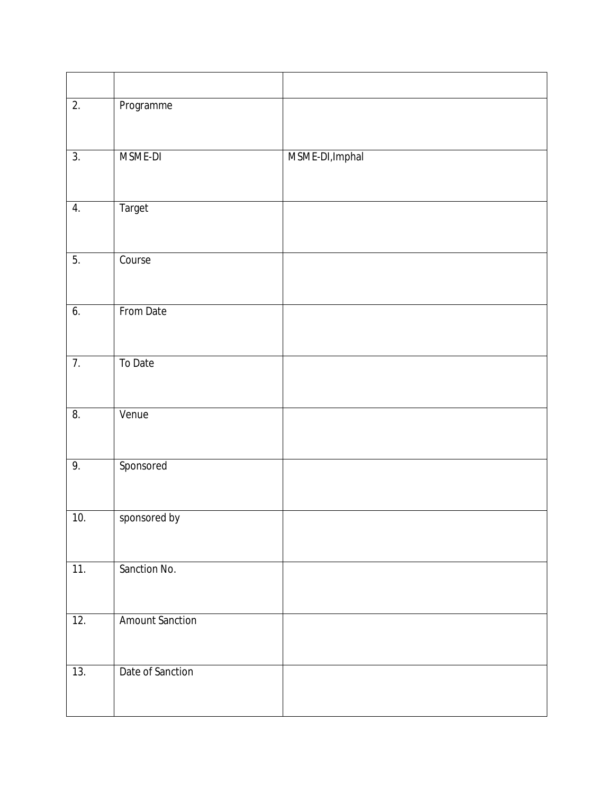| 2.               | Programme              |                 |
|------------------|------------------------|-----------------|
| 3.               | MSME-DI                | MSME-DI, Imphal |
| 4.               | Target                 |                 |
| 5.               | Course                 |                 |
| 6.               | From Date              |                 |
| 7.               | To Date                |                 |
| $\overline{8}$ . | Venue                  |                 |
| 9.               | Sponsored              |                 |
| 10.              | sponsored by           |                 |
| 11.              | Sanction No.           |                 |
| 12.              | <b>Amount Sanction</b> |                 |
| 13.              | Date of Sanction       |                 |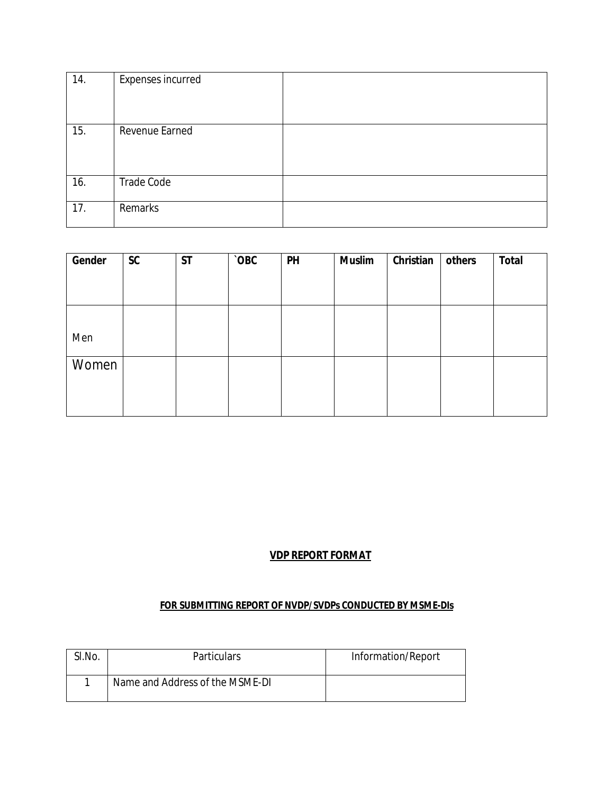| 14. | Expenses incurred |  |
|-----|-------------------|--|
| 15. | Revenue Earned    |  |
|     |                   |  |
| 16. | Trade Code        |  |
| 17. | Remarks           |  |

| Gender | <b>SC</b> | <b>ST</b> | `OBC | PH | <b>Muslim</b> | Christian | others | <b>Total</b> |
|--------|-----------|-----------|------|----|---------------|-----------|--------|--------------|
|        |           |           |      |    |               |           |        |              |
|        |           |           |      |    |               |           |        |              |
|        |           |           |      |    |               |           |        |              |
| Men    |           |           |      |    |               |           |        |              |
| Women  |           |           |      |    |               |           |        |              |
|        |           |           |      |    |               |           |        |              |
|        |           |           |      |    |               |           |        |              |

# **VDP REPORT FORMAT**

## **FOR SUBMITTING REPORT OF NVDP/SVDPs CONDUCTED BY MSME-DIs**

| SI.No. | <b>Particulars</b>              | Information/Report |
|--------|---------------------------------|--------------------|
|        | Name and Address of the MSME-DI |                    |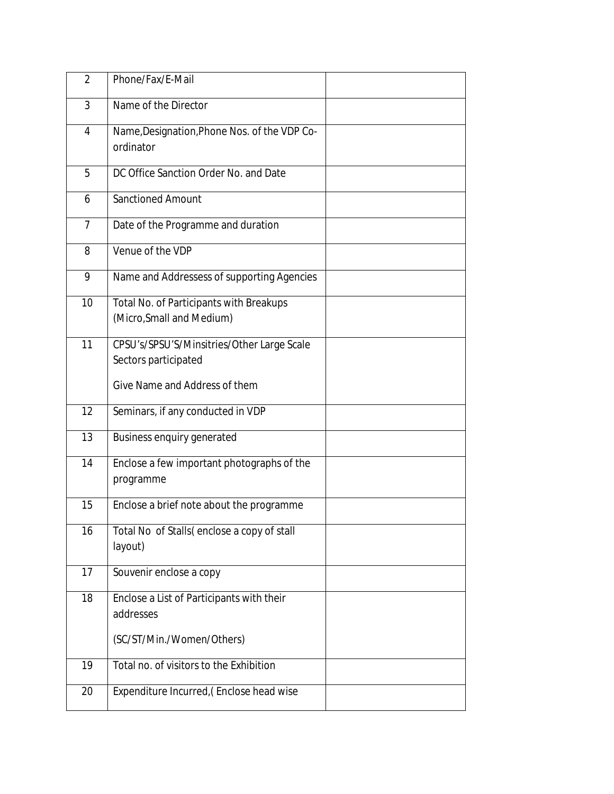| $\overline{2}$ | Phone/Fax/E-Mail                                                                                    |  |
|----------------|-----------------------------------------------------------------------------------------------------|--|
| 3              | Name of the Director                                                                                |  |
| $\overline{4}$ | Name, Designation, Phone Nos. of the VDP Co-<br>ordinator                                           |  |
| 5              | DC Office Sanction Order No. and Date                                                               |  |
| 6              | <b>Sanctioned Amount</b>                                                                            |  |
| 7              | Date of the Programme and duration                                                                  |  |
| 8              | Venue of the VDP                                                                                    |  |
| 9              | Name and Addressess of supporting Agencies                                                          |  |
| 10             | Total No. of Participants with Breakups<br>(Micro, Small and Medium)                                |  |
| 11             | CPSU's/SPSU'S/Minsitries/Other Large Scale<br>Sectors participated<br>Give Name and Address of them |  |
| 12             | Seminars, if any conducted in VDP                                                                   |  |
| 13             | Business enquiry generated                                                                          |  |
| 14             | Enclose a few important photographs of the<br>programme                                             |  |
| 15             | Enclose a brief note about the programme                                                            |  |
| 16             | Total No of Stalls(enclose a copy of stall<br>layout)                                               |  |
| 17             | Souvenir enclose a copy                                                                             |  |
| 18             | Enclose a List of Participants with their<br>addresses<br>(SC/ST/Min./Women/Others)                 |  |
| 19             | Total no. of visitors to the Exhibition                                                             |  |
| 20             | Expenditure Incurred, (Enclose head wise                                                            |  |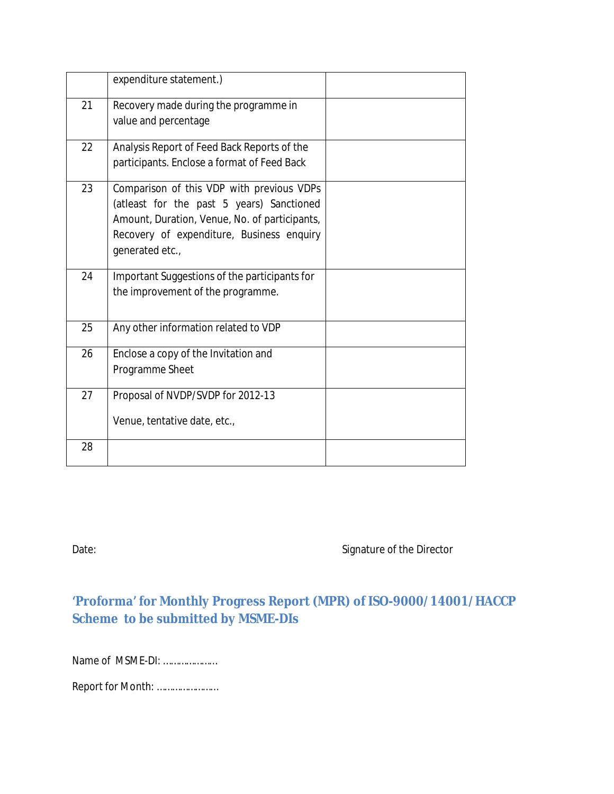|    | expenditure statement.)                                                                                                                                                                                 |  |
|----|---------------------------------------------------------------------------------------------------------------------------------------------------------------------------------------------------------|--|
| 21 | Recovery made during the programme in<br>value and percentage                                                                                                                                           |  |
| 22 | Analysis Report of Feed Back Reports of the<br>participants. Enclose a format of Feed Back                                                                                                              |  |
| 23 | Comparison of this VDP with previous VDPs<br>(atleast for the past 5 years) Sanctioned<br>Amount, Duration, Venue, No. of participants,<br>Recovery of expenditure, Business enquiry<br>generated etc., |  |
| 24 | Important Suggestions of the participants for<br>the improvement of the programme.                                                                                                                      |  |
| 25 | Any other information related to VDP                                                                                                                                                                    |  |
| 26 | Enclose a copy of the Invitation and<br>Programme Sheet                                                                                                                                                 |  |
| 27 | Proposal of NVDP/SVDP for 2012-13<br>Venue, tentative date, etc.,                                                                                                                                       |  |
| 28 |                                                                                                                                                                                                         |  |

Date: Case of the Director Case of the Director Case of the Director Case of the Director

**'Proforma' for Monthly Progress Report (MPR) of ISO-9000/14001/HACCP Scheme to be submitted by MSME-DIs**

Name of MSME-DI: …………………

Report for Month: ……………………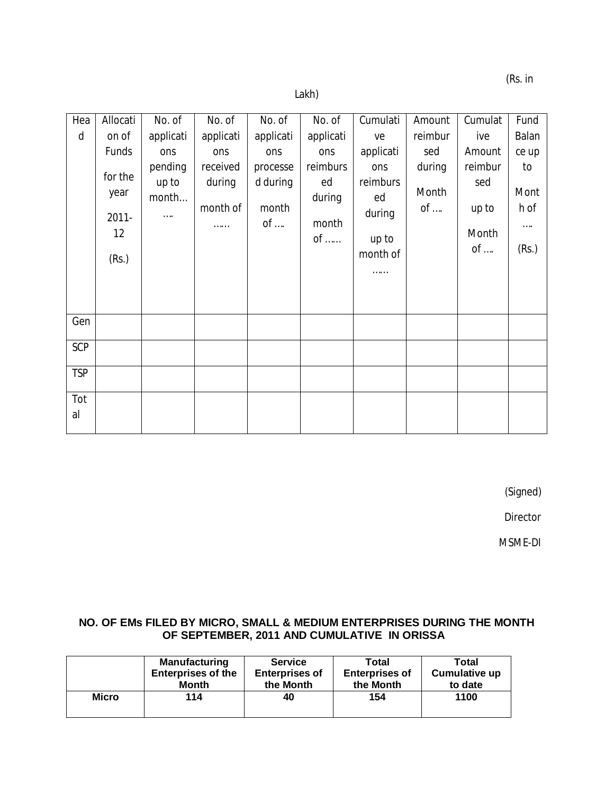(Rs. in

Lakh)

| Hea        | Allocati | No. of    | No. of    | No. of     | No. of    | Cumulati  | Amount     | Cumulat    | Fund         |
|------------|----------|-----------|-----------|------------|-----------|-----------|------------|------------|--------------|
| d          | on of    | applicati | applicati | applicati  | applicati | ve        | reimbur    | ive        | Balan        |
|            | Funds    | ons       | ons       | ons        | ons       | applicati | sed        | Amount     | ce up        |
|            |          | pending   | received  | processe   | reimburs  | ons       | during     | reimbur    | to           |
|            | for the  | up to     | during    | d during   | ed        | reimburs  |            | sed        |              |
|            | year     | month     | month of  | month      | during    | ed        | Month      |            | Mont<br>h of |
|            | $2011 -$ | $\cdots$  |           | $of \dots$ | month     | during    | $of \dots$ | up to      |              |
|            | 12       |           | .         |            | of        | up to     |            | Month      |              |
|            |          |           |           |            |           | month of  |            | $of \dots$ | (Rs.)        |
|            | (Rs.)    |           |           |            |           | .         |            |            |              |
|            |          |           |           |            |           |           |            |            |              |
|            |          |           |           |            |           |           |            |            |              |
|            |          |           |           |            |           |           |            |            |              |
| Gen        |          |           |           |            |           |           |            |            |              |
| <b>SCP</b> |          |           |           |            |           |           |            |            |              |
|            |          |           |           |            |           |           |            |            |              |
| <b>TSP</b> |          |           |           |            |           |           |            |            |              |
| Tot        |          |           |           |            |           |           |            |            |              |
| al         |          |           |           |            |           |           |            |            |              |
|            |          |           |           |            |           |           |            |            |              |

(Signed)

Director

MSME-DI

#### **NO. OF EMs FILED BY MICRO, SMALL & MEDIUM ENTERPRISES DURING THE MONTH OF SEPTEMBER, 2011 AND CUMULATIVE IN ORISSA**

|              | <b>Manufacturing</b>      | <b>Service</b>        | Total                 | <b>Total</b>         |
|--------------|---------------------------|-----------------------|-----------------------|----------------------|
|              | <b>Enterprises of the</b> | <b>Enterprises of</b> | <b>Enterprises of</b> | <b>Cumulative up</b> |
|              | Month                     | the Month             | the Month             | to date              |
| <b>Micro</b> | 114                       | 40                    | 154                   | 1100                 |